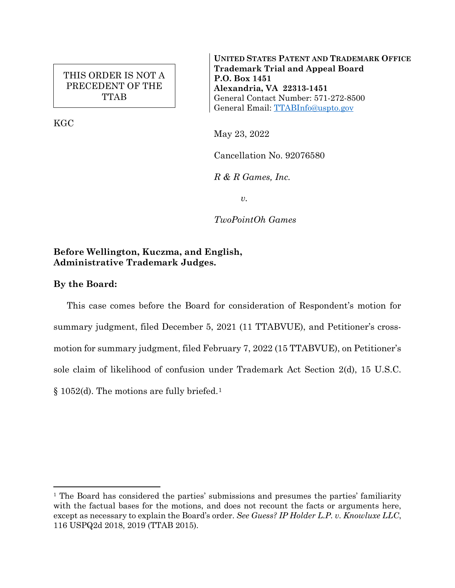# THIS ORDER IS NOT A PRECEDENT OF THE TTAB

KGC

**UNITED STATES PATENT AND TRADEMARK OFFICE Trademark Trial and Appeal Board P.O. Box 1451 Alexandria, VA 22313-1451** General Contact Number: 571-272-8500 General Email: [TTABInfo@uspto.gov](mailto:TTABInfo@uspto.gov)

May 23, 2022

Cancellation No. 92076580

*R & R Games, Inc.*

*v.*

*TwoPointOh Games*

# **Before Wellington, Kuczma, and English, Administrative Trademark Judges.**

# **By the Board:**

 $\overline{a}$ 

This case comes before the Board for consideration of Respondent's motion for summary judgment, filed December 5, 2021 (11 TTABVUE), and Petitioner's crossmotion for summary judgment, filed February 7, 2022 (15 TTABVUE), on Petitioner's sole claim of likelihood of confusion under Trademark Act Section 2(d), 15 U.S.C. § 1052(d). The motions are fully briefed.[1](#page-0-0)

<span id="page-0-0"></span><sup>1</sup> The Board has considered the parties' submissions and presumes the parties' familiarity with the factual bases for the motions, and does not recount the facts or arguments here, except as necessary to explain the Board's order. *See Guess? IP Holder L.P. v. Knowluxe LLC*, 116 USPQ2d 2018, 2019 (TTAB 2015).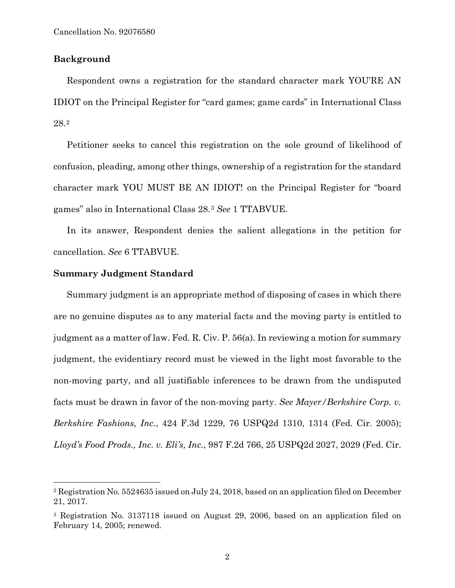## **Background**

Respondent owns a registration for the standard character mark YOU'RE AN IDIOT on the Principal Register for "card games; game cards" in International Class 28.[2](#page-1-0)

Petitioner seeks to cancel this registration on the sole ground of likelihood of confusion, pleading, among other things, ownership of a registration for the standard character mark YOU MUST BE AN IDIOT! on the Principal Register for "board games" also in International Class 28.[3](#page-1-1) *See* 1 TTABVUE.

In its answer, Respondent denies the salient allegations in the petition for cancellation. *See* 6 TTABVUE.

### **Summary Judgment Standard**

Summary judgment is an appropriate method of disposing of cases in which there are no genuine disputes as to any material facts and the moving party is entitled to judgment as a matter of law. Fed. R. Civ. P. 56(a). In reviewing a motion for summary judgment, the evidentiary record must be viewed in the light most favorable to the non-moving party, and all justifiable inferences to be drawn from the undisputed facts must be drawn in favor of the non-moving party. *See Mayer/Berkshire Corp. v. Berkshire Fashions, Inc.*, 424 F.3d 1229, 76 USPQ2d 1310, 1314 (Fed. Cir. 2005); *Lloyd's Food Prods., Inc. v. Eli's, Inc.*, 987 F.2d 766, 25 USPQ2d 2027, 2029 (Fed. Cir.

<span id="page-1-0"></span> <sup>2</sup> Registration No. 5524635 issued on July 24, 2018, based on an application filed on December 21, 2017.

<span id="page-1-1"></span><sup>3</sup> Registration No. 3137118 issued on August 29, 2006, based on an application filed on February 14, 2005; renewed.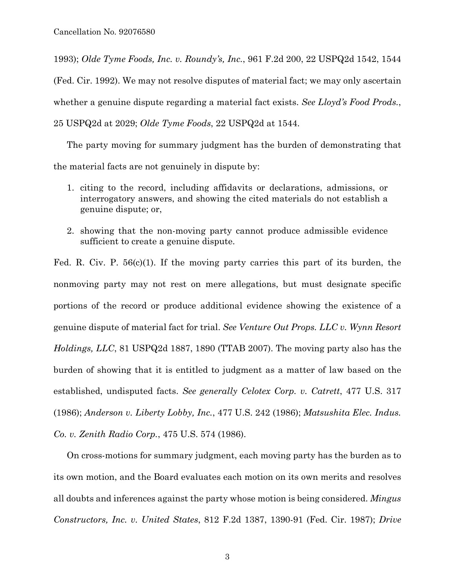1993); *Olde Tyme Foods, Inc. v. Roundy's, Inc.*, 961 F.2d 200, 22 USPQ2d 1542, 1544 (Fed. Cir. 1992). We may not resolve disputes of material fact; we may only ascertain whether a genuine dispute regarding a material fact exists. *See Lloyd's Food Prods.*, 25 USPQ2d at 2029; *Olde Tyme Foods*, 22 USPQ2d at 1544.

The party moving for summary judgment has the burden of demonstrating that the material facts are not genuinely in dispute by:

- 1. citing to the record, including affidavits or declarations, admissions, or interrogatory answers, and showing the cited materials do not establish a genuine dispute; or,
- 2. showing that the non-moving party cannot produce admissible evidence sufficient to create a genuine dispute.

Fed. R. Civ. P. 56(c)(1). If the moving party carries this part of its burden, the nonmoving party may not rest on mere allegations, but must designate specific portions of the record or produce additional evidence showing the existence of a genuine dispute of material fact for trial. *See Venture Out Props. LLC v. Wynn Resort Holdings, LLC*, 81 USPQ2d 1887, 1890 (TTAB 2007). The moving party also has the burden of showing that it is entitled to judgment as a matter of law based on the established, undisputed facts. *See generally Celotex Corp. v. Catrett*, 477 U.S. 317 (1986); *Anderson v. Liberty Lobby, Inc.*, 477 U.S. 242 (1986); *Matsushita Elec. Indus. Co. v. Zenith Radio Corp.*, 475 U.S. 574 (1986).

On cross-motions for summary judgment, each moving party has the burden as to its own motion, and the Board evaluates each motion on its own merits and resolves all doubts and inferences against the party whose motion is being considered. *Mingus Constructors, Inc. v. United States*, 812 F.2d 1387, 1390-91 (Fed. Cir. 1987); *Drive*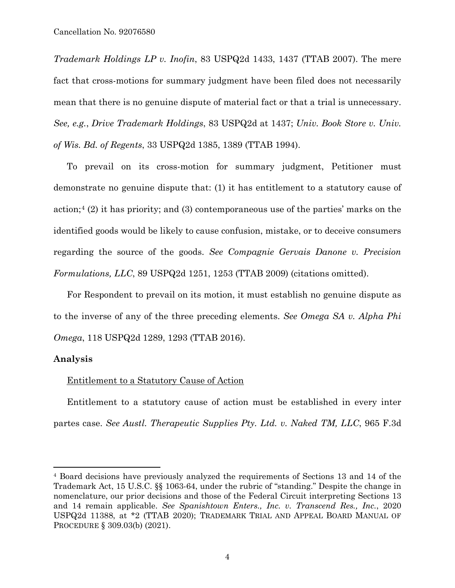*Trademark Holdings LP v. Inofin*, 83 USPQ2d 1433, 1437 (TTAB 2007). The mere fact that cross-motions for summary judgment have been filed does not necessarily mean that there is no genuine dispute of material fact or that a trial is unnecessary. *See, e.g.*, *Drive Trademark Holdings*, 83 USPQ2d at 1437; *Univ. Book Store v. Univ. of Wis. Bd. of Regents*, 33 USPQ2d 1385, 1389 (TTAB 1994).

To prevail on its cross-motion for summary judgment, Petitioner must demonstrate no genuine dispute that: (1) it has entitlement to a statutory cause of action;[4](#page-3-0) (2) it has priority; and (3) contemporaneous use of the parties' marks on the identified goods would be likely to cause confusion, mistake, or to deceive consumers regarding the source of the goods. *See Compagnie Gervais Danone v. Precision Formulations, LLC*, 89 USPQ2d 1251, 1253 (TTAB 2009) (citations omitted).

For Respondent to prevail on its motion, it must establish no genuine dispute as to the inverse of any of the three preceding elements. *See Omega SA v. Alpha Phi Omega*, 118 USPQ2d 1289, 1293 (TTAB 2016).

### **Analysis**

 $\overline{a}$ 

### Entitlement to a Statutory Cause of Action

Entitlement to a statutory cause of action must be established in every inter partes case. *See Austl. Therapeutic Supplies Pty. Ltd. v. Naked TM, LLC*, 965 F.3d

<span id="page-3-0"></span><sup>4</sup> Board decisions have previously analyzed the requirements of Sections 13 and 14 of the Trademark Act, 15 U.S.C. §§ 1063-64, under the rubric of "standing." Despite the change in nomenclature, our prior decisions and those of the Federal Circuit interpreting Sections 13 and 14 remain applicable. *See Spanishtown Enters., Inc. v. Transcend Res., Inc.*, 2020 USPQ2d 11388, at \*2 (TTAB 2020); TRADEMARK TRIAL AND APPEAL BOARD MANUAL OF PROCEDURE § 309.03(b) (2021).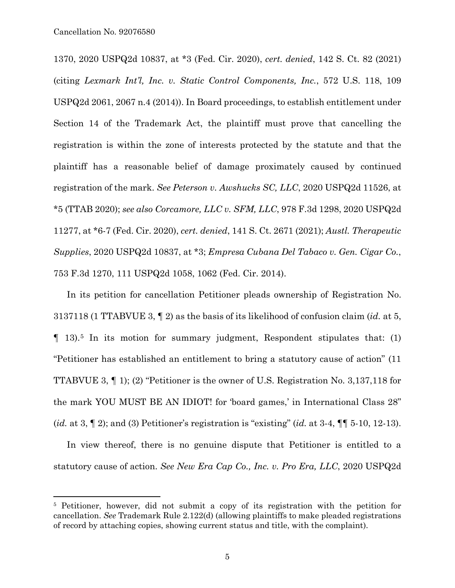1370, 2020 USPQ2d 10837, at \*3 (Fed. Cir. 2020), *cert. denied*, 142 S. Ct. 82 (2021) (citing *Lexmark Int'l, Inc. v. Static Control Components, Inc.*, 572 U.S. 118, 109 USPQ2d 2061, 2067 n.4 (2014)). In Board proceedings, to establish entitlement under Section 14 of the Trademark Act, the plaintiff must prove that cancelling the registration is within the zone of interests protected by the statute and that the plaintiff has a reasonable belief of damage proximately caused by continued registration of the mark. *See Peterson v. Awshucks SC, LLC*, 2020 USPQ2d 11526, at \*5 (TTAB 2020); *see also Corcamore, LLC v. SFM, LLC*, 978 F.3d 1298, 2020 USPQ2d 11277, at \*6-7 (Fed. Cir. 2020), *cert. denied*, 141 S. Ct. 2671 (2021); *Austl. Therapeutic Supplies*, 2020 USPQ2d 10837, at \*3; *Empresa Cubana Del Tabaco v. Gen. Cigar Co.*, 753 F.3d 1270, 111 USPQ2d 1058, 1062 (Fed. Cir. 2014).

In its petition for cancellation Petitioner pleads ownership of Registration No. 3137118 (1 TTABVUE 3, ¶ 2) as the basis of its likelihood of confusion claim (*id.* at 5, ¶ 13).[5](#page-4-0) In its motion for summary judgment, Respondent stipulates that: (1) "Petitioner has established an entitlement to bring a statutory cause of action" (11 TTABVUE 3, ¶ 1); (2) "Petitioner is the owner of U.S. Registration No. 3,137,118 for the mark YOU MUST BE AN IDIOT! for 'board games,' in International Class 28" (*id.* at 3, ¶ 2); and (3) Petitioner's registration is "existing" (*id.* at 3-4, ¶¶ 5-10, 12-13).

In view thereof, there is no genuine dispute that Petitioner is entitled to a statutory cause of action. *See New Era Cap Co., Inc. v. Pro Era, LLC*, 2020 USPQ2d

<span id="page-4-0"></span> <sup>5</sup> Petitioner, however, did not submit a copy of its registration with the petition for cancellation. *See* Trademark Rule 2.122(d) (allowing plaintiffs to make pleaded registrations of record by attaching copies, showing current status and title, with the complaint).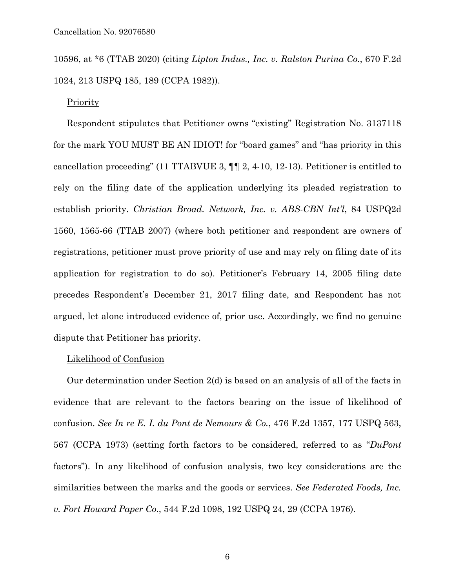10596, at \*6 (TTAB 2020) (citing *Lipton Indus., Inc. v. Ralston Purina Co.*, 670 F.2d 1024, 213 USPQ 185, 189 (CCPA 1982)).

### Priority

Respondent stipulates that Petitioner owns "existing" Registration No. 3137118 for the mark YOU MUST BE AN IDIOT! for "board games" and "has priority in this cancellation proceeding" (11 TTABVUE 3, ¶¶ 2, 4-10, 12-13). Petitioner is entitled to rely on the filing date of the application underlying its pleaded registration to establish priority. *Christian Broad. Network, Inc. v. ABS-CBN Int'l*, 84 USPQ2d 1560, 1565-66 (TTAB 2007) (where both petitioner and respondent are owners of registrations, petitioner must prove priority of use and may rely on filing date of its application for registration to do so). Petitioner's February 14, 2005 filing date precedes Respondent's December 21, 2017 filing date, and Respondent has not argued, let alone introduced evidence of, prior use. Accordingly, we find no genuine dispute that Petitioner has priority.

#### Likelihood of Confusion

Our determination under Section 2(d) is based on an analysis of all of the facts in evidence that are relevant to the factors bearing on the issue of likelihood of confusion. *See In re E. I. du Pont de Nemours & Co.*, 476 F.2d 1357, 177 USPQ 563, 567 (CCPA 1973) (setting forth factors to be considered, referred to as "*DuPont* factors"). In any likelihood of confusion analysis, two key considerations are the similarities between the marks and the goods or services. *See Federated Foods, Inc. v. Fort Howard Paper Co*., 544 F.2d 1098, 192 USPQ 24, 29 (CCPA 1976).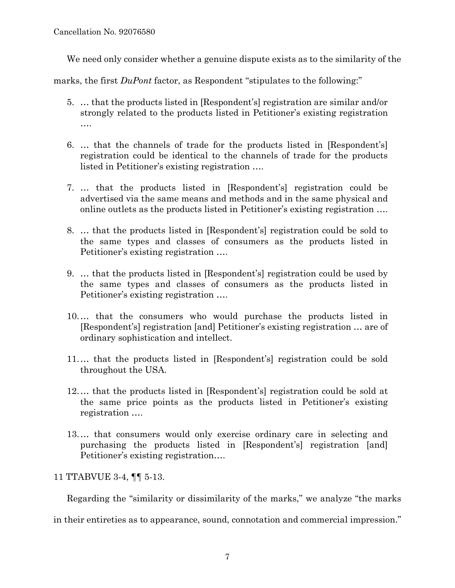Cancellation No. 92076580

We need only consider whether a genuine dispute exists as to the similarity of the

marks, the first *DuPont* factor, as Respondent "stipulates to the following:"

- 5. … that the products listed in [Respondent's] registration are similar and/or strongly related to the products listed in Petitioner's existing registration ….
- 6. … that the channels of trade for the products listed in [Respondent's] registration could be identical to the channels of trade for the products listed in Petitioner's existing registration ….
- 7. … that the products listed in [Respondent's] registration could be advertised via the same means and methods and in the same physical and online outlets as the products listed in Petitioner's existing registration ….
- 8. … that the products listed in [Respondent's] registration could be sold to the same types and classes of consumers as the products listed in Petitioner's existing registration ….
- 9. … that the products listed in [Respondent's] registration could be used by the same types and classes of consumers as the products listed in Petitioner's existing registration ….
- 10.… that the consumers who would purchase the products listed in [Respondent's] registration [and] Petitioner's existing registration … are of ordinary sophistication and intellect.
- 11.… that the products listed in [Respondent's] registration could be sold throughout the USA.
- 12.… that the products listed in [Respondent's] registration could be sold at the same price points as the products listed in Petitioner's existing registration ….
- 13.… that consumers would only exercise ordinary care in selecting and purchasing the products listed in [Respondent's] registration [and] Petitioner's existing registration….

11 TTABVUE 3-4, ¶¶ 5-13.

Regarding the "similarity or dissimilarity of the marks," we analyze "the marks

in their entireties as to appearance, sound, connotation and commercial impression."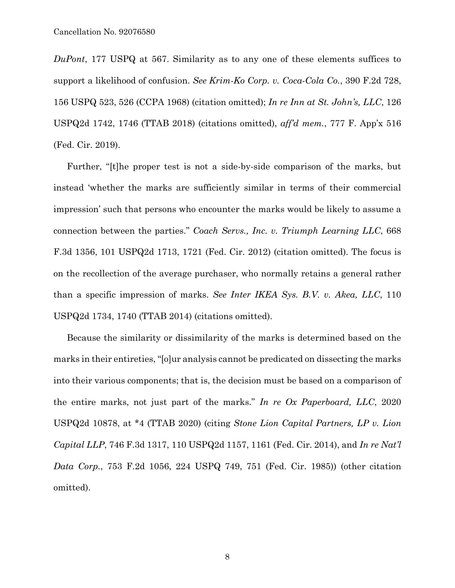*DuPont*, 177 USPQ at 567. Similarity as to any one of these elements suffices to support a likelihood of confusion. *See Krim-Ko Corp. v. Coca-Cola Co.*, 390 F.2d 728, 156 USPQ 523, 526 (CCPA 1968) (citation omitted); *In re Inn at St. John's, LLC*, 126 USPQ2d 1742, 1746 (TTAB 2018) (citations omitted), *aff'd mem.*, 777 F. App'x 516 (Fed. Cir. 2019).

Further, "[t]he proper test is not a side-by-side comparison of the marks, but instead 'whether the marks are sufficiently similar in terms of their commercial impression' such that persons who encounter the marks would be likely to assume a connection between the parties." *Coach Servs., Inc. v. Triumph Learning LLC*, 668 F.3d 1356, 101 USPQ2d 1713, 1721 (Fed. Cir. 2012) (citation omitted). The focus is on the recollection of the average purchaser, who normally retains a general rather than a specific impression of marks. *See Inter IKEA Sys. B.V. v. Akea, LLC*, 110 USPQ2d 1734, 1740 (TTAB 2014) (citations omitted).

Because the similarity or dissimilarity of the marks is determined based on the marks in their entireties, "[o]ur analysis cannot be predicated on dissecting the marks into their various components; that is, the decision must be based on a comparison of the entire marks, not just part of the marks." *In re Ox Paperboard, LLC*, 2020 USPQ2d 10878, at \*4 (TTAB 2020) (citing *Stone Lion Capital Partners, LP v. Lion Capital LLP*, 746 F.3d 1317, 110 USPQ2d 1157, 1161 (Fed. Cir. 2014), and *In re Nat'l Data Corp.*, 753 F.2d 1056, 224 USPQ 749, 751 (Fed. Cir. 1985)) (other citation omitted).

8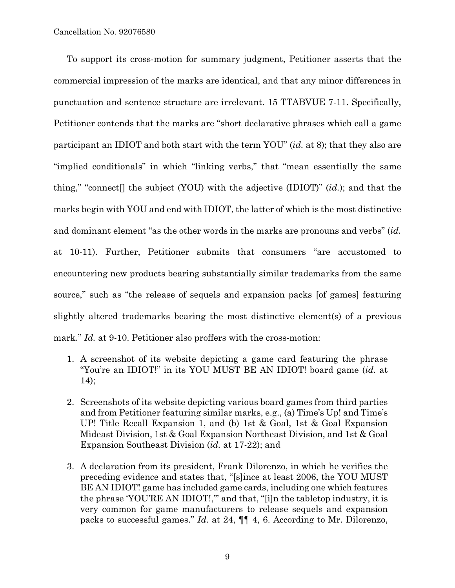To support its cross-motion for summary judgment, Petitioner asserts that the commercial impression of the marks are identical, and that any minor differences in punctuation and sentence structure are irrelevant. 15 TTABVUE 7-11. Specifically, Petitioner contends that the marks are "short declarative phrases which call a game participant an IDIOT and both start with the term YOU" (*id.* at 8); that they also are "implied conditionals" in which "linking verbs," that "mean essentially the same thing," "connect[] the subject (YOU) with the adjective (IDIOT)" (*id.*); and that the marks begin with YOU and end with IDIOT, the latter of which is the most distinctive and dominant element "as the other words in the marks are pronouns and verbs" (*id.* at 10-11). Further, Petitioner submits that consumers "are accustomed to encountering new products bearing substantially similar trademarks from the same source," such as "the release of sequels and expansion packs [of games] featuring slightly altered trademarks bearing the most distinctive element(s) of a previous mark." *Id.* at 9-10. Petitioner also proffers with the cross-motion:

- 1. A screenshot of its website depicting a game card featuring the phrase "You're an IDIOT!" in its YOU MUST BE AN IDIOT! board game (*id.* at 14);
- 2. Screenshots of its website depicting various board games from third parties and from Petitioner featuring similar marks, e.g., (a) Time's Up! and Time's UP! Title Recall Expansion 1, and (b) 1st & Goal, 1st & Goal Expansion Mideast Division, 1st & Goal Expansion Northeast Division, and 1st & Goal Expansion Southeast Division (*id.* at 17-22); and
- 3. A declaration from its president, Frank Dilorenzo, in which he verifies the preceding evidence and states that, "[s]ince at least 2006, the YOU MUST BE AN IDIOT! game has included game cards, including one which features the phrase 'YOU'RE AN IDIOT!,'" and that, "[i]n the tabletop industry, it is very common for game manufacturers to release sequels and expansion packs to successful games." *Id.* at 24, ¶¶ 4, 6. According to Mr. Dilorenzo,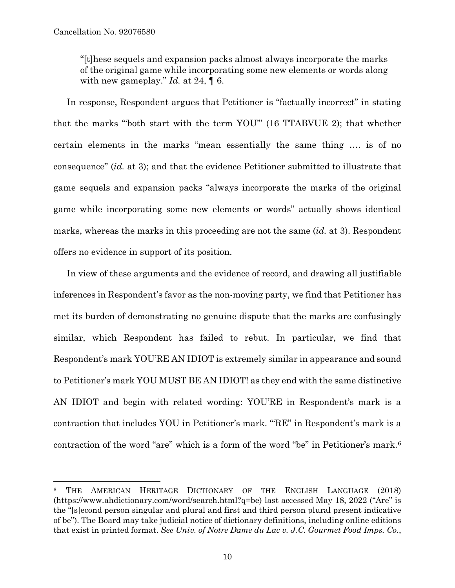"[t]hese sequels and expansion packs almost always incorporate the marks of the original game while incorporating some new elements or words along with new gameplay." *Id.* at 24, ¶ 6.

In response, Respondent argues that Petitioner is "factually incorrect" in stating that the marks "'both start with the term YOU'" (16 TTABVUE 2); that whether certain elements in the marks "mean essentially the same thing …. is of no consequence" (*id.* at 3); and that the evidence Petitioner submitted to illustrate that game sequels and expansion packs "always incorporate the marks of the original game while incorporating some new elements or words" actually shows identical marks, whereas the marks in this proceeding are not the same (*id.* at 3). Respondent offers no evidence in support of its position.

In view of these arguments and the evidence of record, and drawing all justifiable inferences in Respondent's favor as the non-moving party, we find that Petitioner has met its burden of demonstrating no genuine dispute that the marks are confusingly similar, which Respondent has failed to rebut. In particular, we find that Respondent's mark YOU'RE AN IDIOT is extremely similar in appearance and sound to Petitioner's mark YOU MUST BE AN IDIOT! as they end with the same distinctive AN IDIOT and begin with related wording: YOU'RE in Respondent's mark is a contraction that includes YOU in Petitioner's mark. "'RE" in Respondent's mark is a contraction of the word "are" which is a form of the word "be" in Petitioner's mark.[6](#page-9-0)

<span id="page-9-0"></span> <sup>6</sup> THE AMERICAN HERITAGE DICTIONARY OF THE ENGLISH LANGUAGE (2018) [\(https://www.ahdictionary.com/w](https://www.ahdictionary.com/)ord/search.html?q=be) last accessed May 18, 2022 ("Are" is the "[s]econd person singular and plural and first and third person plural present indicative of be"). The Board may take judicial notice of dictionary definitions, including online editions that exist in printed format. *See Univ. of Notre Dame du Lac v. J.C. Gourmet Food Imps. Co.*,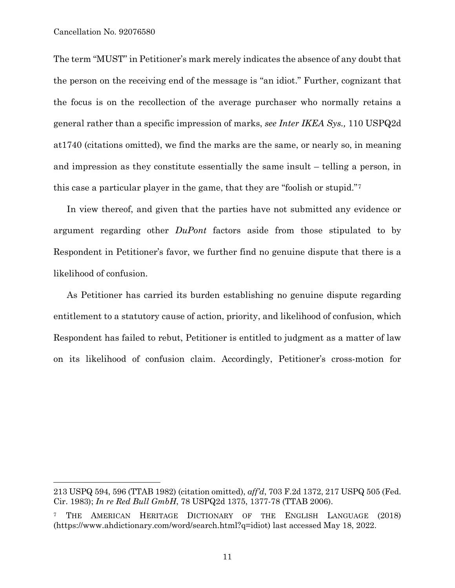$\overline{a}$ 

The term "MUST" in Petitioner's mark merely indicates the absence of any doubt that the person on the receiving end of the message is "an idiot." Further, cognizant that the focus is on the recollection of the average purchaser who normally retains a general rather than a specific impression of marks, *see Inter IKEA Sys.,* 110 USPQ2d at1740 (citations omitted), we find the marks are the same, or nearly so, in meaning and impression as they constitute essentially the same insult – telling a person, in this case a particular player in the game, that they are "foolish or stupid."[7](#page-10-0)

In view thereof, and given that the parties have not submitted any evidence or argument regarding other *DuPont* factors aside from those stipulated to by Respondent in Petitioner's favor, we further find no genuine dispute that there is a likelihood of confusion.

As Petitioner has carried its burden establishing no genuine dispute regarding entitlement to a statutory cause of action, priority, and likelihood of confusion, which Respondent has failed to rebut, Petitioner is entitled to judgment as a matter of law on its likelihood of confusion claim. Accordingly, Petitioner's cross-motion for

<sup>213</sup> USPQ 594, 596 (TTAB 1982) (citation omitted), *aff'd*, 703 F.2d 1372, 217 USPQ 505 (Fed. Cir. 1983); *In re Red Bull GmbH*, 78 USPQ2d 1375, 1377-78 (TTAB 2006).

<span id="page-10-0"></span><sup>7</sup> THE AMERICAN HERITAGE DICTIONARY OF THE ENGLISH LANGUAGE (2018) [\(https://www.ahdictionary.com/w](https://www.ahdictionary.com/)ord/search.html?q=idiot) last accessed May 18, 2022.